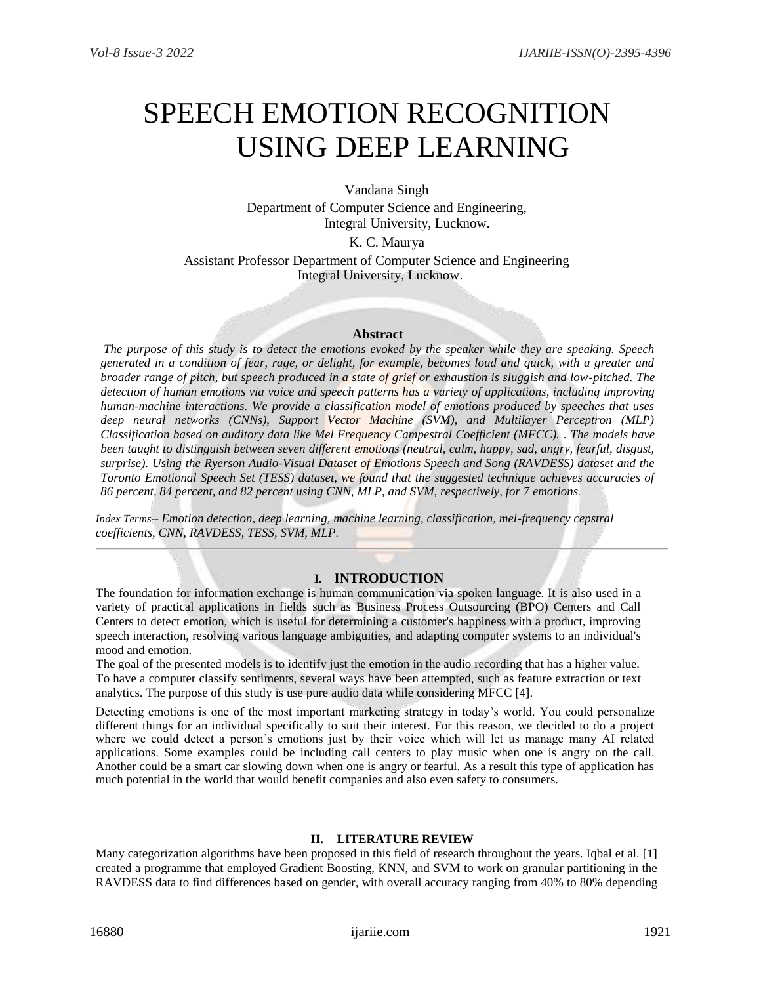# SPEECH EMOTION RECOGNITION USING DEEP LEARNING

Vandana Singh Department of Computer Science and Engineering, Integral University, Lucknow.

K. C. Maurya

Assistant Professor Department of Computer Science and Engineering Integral University, Lucknow.

## **Abstract**

*The purpose of this study is to detect the emotions evoked by the speaker while they are speaking. Speech generated in a condition of fear, rage, or delight, for example, becomes loud and quick, with a greater and broader range of pitch, but speech produced in a state of grief or exhaustion is sluggish and low-pitched. The detection of human emotions via voice and speech patterns has a variety of applications, including improving human-machine interactions. We provide a classification model of emotions produced by speeches that uses deep neural networks (CNNs), Support Vector Machine (SVM), and Multilayer Perceptron (MLP) Classification based on auditory data like Mel Frequency Campestral Coefficient (MFCC). . The models have been taught to distinguish between seven different emotions (neutral, calm, happy, sad, angry, fearful, disgust, surprise). Using the Ryerson Audio-Visual Dataset of Emotions Speech and Song (RAVDESS) dataset and the Toronto Emotional Speech Set (TESS) dataset, we found that the suggested technique achieves accuracies of 86 percent, 84 percent, and 82 percent using CNN, MLP, and SVM, respectively, for 7 emotions.*

*Index Terms*-- *Emotion detection, deep learning, machine learning, classification, mel-frequency cepstral coefficients, CNN, RAVDESS, TESS, SVM, MLP.*

# **I. INTRODUCTION**

The foundation for information exchange is human communication via spoken language. It is also used in a variety of practical applications in fields such as Business Process Outsourcing (BPO) Centers and Call Centers to detect emotion, which is useful for determining a customer's happiness with a product, improving speech interaction, resolving various language ambiguities, and adapting computer systems to an individual's mood and emotion.

The goal of the presented models is to identify just the emotion in the audio recording that has a higher value. To have a computer classify sentiments, several ways have been attempted, such as feature extraction or text analytics. The purpose of this study is use pure audio data while considering MFCC [4].

Detecting emotions is one of the most important marketing strategy in today's world. You could personalize different things for an individual specifically to suit their interest. For this reason, we decided to do a project where we could detect a person's emotions just by their voice which will let us manage many AI related applications. Some examples could be including call centers to play music when one is angry on the call. Another could be a smart car slowing down when one is angry or fearful. As a result this type of application has much potential in the world that would benefit companies and also even safety to consumers.

# **II. LITERATURE REVIEW**

Many categorization algorithms have been proposed in this field of research throughout the years. Iqbal et al. [1] created a programme that employed Gradient Boosting, KNN, and SVM to work on granular partitioning in the RAVDESS data to find differences based on gender, with overall accuracy ranging from 40% to 80% depending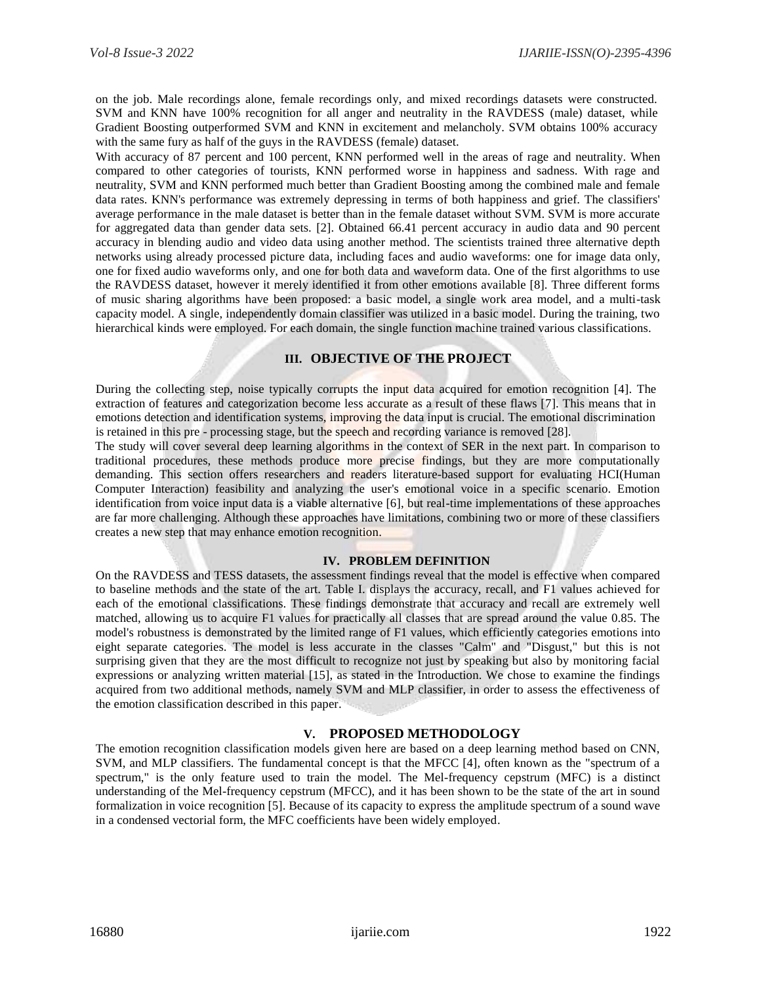on the job. Male recordings alone, female recordings only, and mixed recordings datasets were constructed. SVM and KNN have 100% recognition for all anger and neutrality in the RAVDESS (male) dataset, while Gradient Boosting outperformed SVM and KNN in excitement and melancholy. SVM obtains 100% accuracy with the same fury as half of the guys in the RAVDESS (female) dataset.

With accuracy of 87 percent and 100 percent, KNN performed well in the areas of rage and neutrality. When compared to other categories of tourists, KNN performed worse in happiness and sadness. With rage and neutrality, SVM and KNN performed much better than Gradient Boosting among the combined male and female data rates. KNN's performance was extremely depressing in terms of both happiness and grief. The classifiers' average performance in the male dataset is better than in the female dataset without SVM. SVM is more accurate for aggregated data than gender data sets. [2]. Obtained 66.41 percent accuracy in audio data and 90 percent accuracy in blending audio and video data using another method. The scientists trained three alternative depth networks using already processed picture data, including faces and audio waveforms: one for image data only, one for fixed audio waveforms only, and one for both data and waveform data. One of the first algorithms to use the RAVDESS dataset, however it merely identified it from other emotions available [8]. Three different forms of music sharing algorithms have been proposed: a basic model, a single work area model, and a multi-task capacity model. A single, independently domain classifier was utilized in a basic model. During the training, two hierarchical kinds were employed. For each domain, the single function machine trained various classifications.

## **III. OBJECTIVE OF THE PROJECT**

During the collecting step, noise typically corrupts the input data acquired for emotion recognition [4]. The extraction of features and categorization become less accurate as a result of these flaws [7]. This means that in emotions detection and identification systems, improving the data input is crucial. The emotional discrimination is retained in this pre - processing stage, but the speech and recording variance is removed [28].

The study will cover several deep learning algorithms in the context of SER in the next part. In comparison to traditional procedures, these methods produce more precise findings, but they are more computationally demanding. This section offers researchers and readers literature-based support for evaluating HCI(Human Computer Interaction) feasibility and analyzing the user's emotional voice in a specific scenario. Emotion identification from voice input data is a viable alternative [6], but real-time implementations of these approaches are far more challenging. Although these approaches have limitations, combining two or more of these classifiers creates a new step that may enhance emotion recognition.

#### **IV. PROBLEM DEFINITION**

On the RAVDESS and TESS datasets, the assessment findings reveal that the model is effective when compared to baseline methods and the state of the art. Table I. displays the accuracy, recall, and F1 values achieved for each of the emotional classifications. These findings demonstrate that accuracy and recall are extremely well matched, allowing us to acquire F1 values for practically all classes that are spread around the value 0.85. The model's robustness is demonstrated by the limited range of F1 values, which efficiently categories emotions into eight separate categories. The model is less accurate in the classes "Calm" and "Disgust," but this is not surprising given that they are the most difficult to recognize not just by speaking but also by monitoring facial expressions or analyzing written material [15], as stated in the Introduction. We chose to examine the findings acquired from two additional methods, namely SVM and MLP classifier, in order to assess the effectiveness of the emotion classification described in this paper.

#### **V. PROPOSED METHODOLOGY**

The emotion recognition classification models given here are based on a deep learning method based on CNN, SVM, and MLP classifiers. The fundamental concept is that the MFCC [4], often known as the "spectrum of a spectrum," is the only feature used to train the model. The Mel-frequency cepstrum (MFC) is a distinct understanding of the Mel-frequency cepstrum (MFCC), and it has been shown to be the state of the art in sound formalization in voice recognition [5]. Because of its capacity to express the amplitude spectrum of a sound wave in a condensed vectorial form, the MFC coefficients have been widely employed.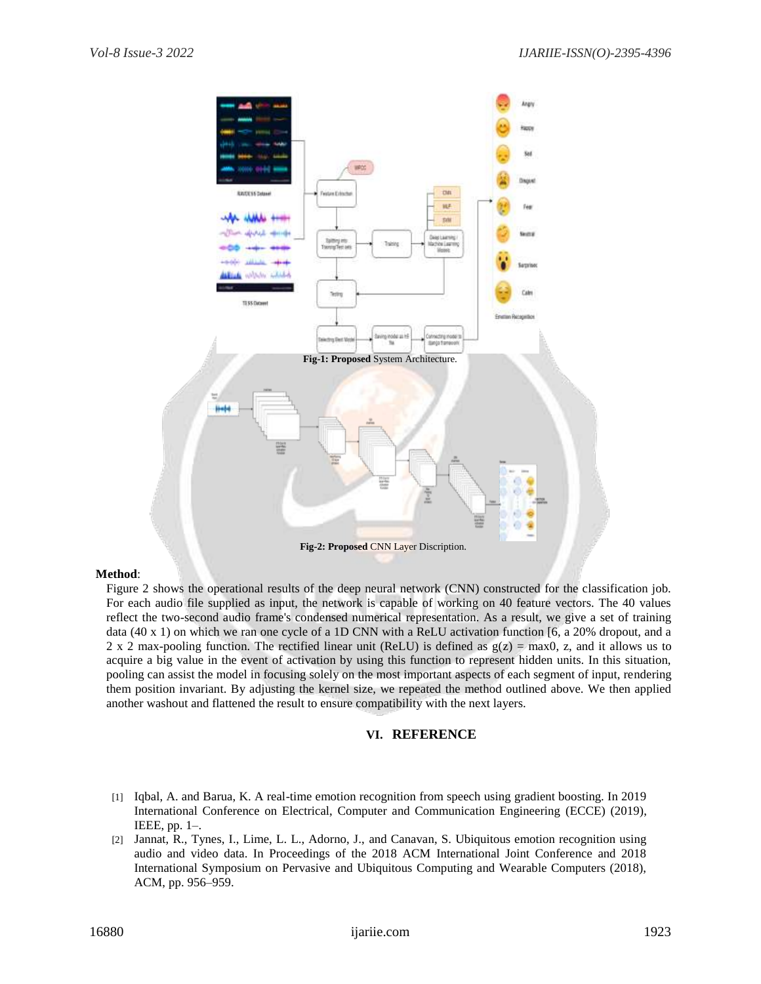

# **Method**:

Figure 2 shows the operational results of the deep neural network (CNN) constructed for the classification job. For each audio file supplied as input, the network is capable of working on 40 feature vectors. The 40 values reflect the two-second audio frame's condensed numerical representation. As a result, we give a set of training data (40 x 1) on which we ran one cycle of a 1D CNN with a ReLU activation function [6, a 20% dropout, and a 2 x 2 max-pooling function. The rectified linear unit (ReLU) is defined as  $g(z) = max0$ , z, and it allows us to acquire a big value in the event of activation by using this function to represent hidden units. In this situation, pooling can assist the model in focusing solely on the most important aspects of each segment of input, rendering them position invariant. By adjusting the kernel size, we repeated the method outlined above. We then applied another washout and flattened the result to ensure compatibility with the next layers.

# **VI. REFERENCE**

- [1] Iqbal, A. and Barua, K. A real-time emotion recognition from speech using gradient boosting. In 2019 International Conference on Electrical, Computer and Communication Engineering (ECCE) (2019), IEEE, pp. 1–.
- [2] Jannat, R., Tynes, I., Lime, L. L., Adorno, J., and Canavan, S. Ubiquitous emotion recognition using audio and video data. In Proceedings of the 2018 ACM International Joint Conference and 2018 International Symposium on Pervasive and Ubiquitous Computing and Wearable Computers (2018), ACM, pp. 956–959.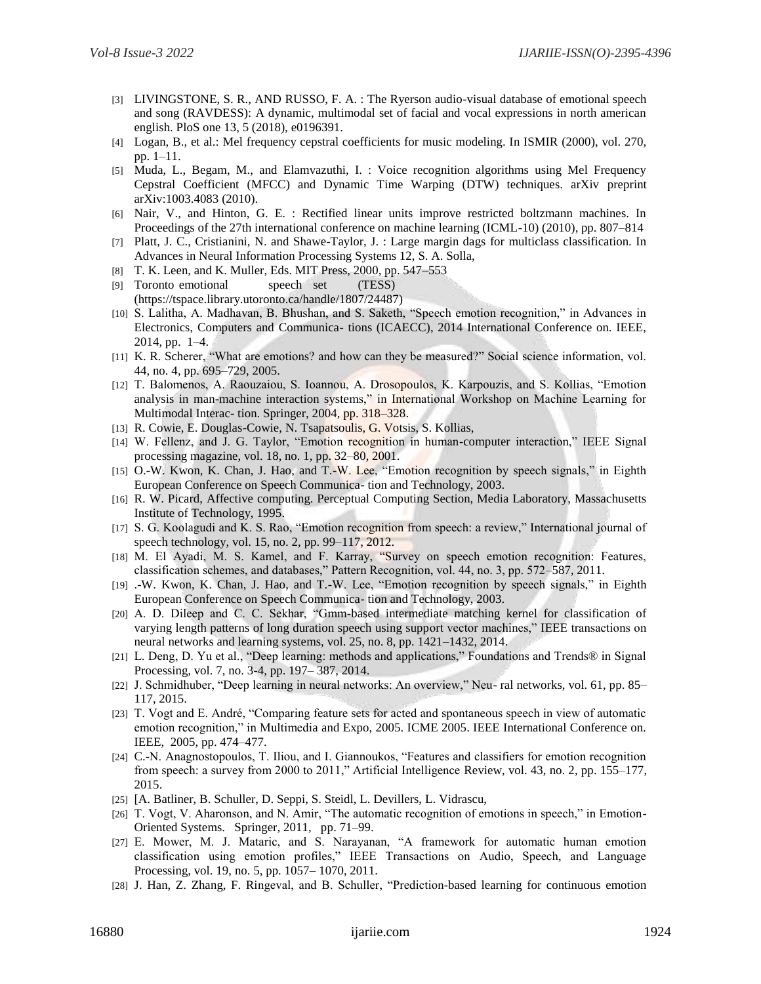- [3] LIVINGSTONE, S. R., AND RUSSO, F. A. : The Ryerson audio-visual database of emotional speech and song (RAVDESS): A dynamic, multimodal set of facial and vocal expressions in north american english. PloS one 13, 5 (2018), e0196391.
- [4] Logan, B., et al.: Mel frequency cepstral coefficients for music modeling. In ISMIR (2000), vol. 270, pp. 1–11.
- [5] Muda, L., Begam, M., and Elamvazuthi, I. : Voice recognition algorithms using Mel Frequency Cepstral Coefficient (MFCC) and Dynamic Time Warping (DTW) techniques. arXiv preprint arXiv:1003.4083 (2010).
- [6] Nair, V., and Hinton, G. E. : Rectified linear units improve restricted boltzmann machines. In Proceedings of the 27th international conference on machine learning (ICML-10) (2010), pp. 807–814
- [7] Platt, J. C., Cristianini, N. and Shawe-Taylor, J. : Large margin dags for multiclass classification. In Advances in Neural Information Processing Systems 12, S. A. Solla,
- [8] T. K. Leen, and K. Muller, Eds. MIT Press, 2000, pp. 547–553
- [9] Toronto emotional speech set (TESS) (https://tspace.library.utoronto.ca/handle/1807/24487)
- [10] S. Lalitha, A. Madhavan, B. Bhushan, and S. Saketh, "Speech emotion recognition," in Advances in Electronics, Computers and Communica- tions (ICAECC), 2014 International Conference on. IEEE, 2014, pp. 1–4.
- [11] K. R. Scherer, "What are emotions? and how can they be measured?" Social science information, vol. 44, no. 4, pp. 695–729, 2005.
- [12] T. Balomenos, A. Raouzaiou, S. Ioannou, A. Drosopoulos, K. Karpouzis, and S. Kollias, "Emotion analysis in man-machine interaction systems," in International Workshop on Machine Learning for Multimodal Interac- tion. Springer, 2004, pp. 318–328.
- [13] R. Cowie, E. Douglas-Cowie, N. Tsapatsoulis, G. Votsis, S. Kollias,
- [14] W. Fellenz, and J. G. Taylor, "Emotion recognition in human-computer interaction," IEEE Signal processing magazine, vol. 18, no. 1, pp. 32–80, 2001.
- [15] O.-W. Kwon, K. Chan, J. Hao, and T.-W. Lee, "Emotion recognition by speech signals," in Eighth European Conference on Speech Communica- tion and Technology, 2003.
- [16] R. W. Picard, Affective computing. Perceptual Computing Section, Media Laboratory, Massachusetts Institute of Technology, 1995.
- [17] S. G. Koolagudi and K. S. Rao, "Emotion recognition from speech: a review," International journal of speech technology, vol. 15, no. 2, pp. 99–117, 2012.
- [18] M. El Ayadi, M. S. Kamel, and F. Karray, "Survey on speech emotion recognition: Features, classification schemes, and databases," Pattern Recognition, vol. 44, no. 3, pp. 572–587, 2011.
- [19] .-W. Kwon, K. Chan, J. Hao, and T.-W. Lee, "Emotion recognition by speech signals," in Eighth European Conference on Speech Communica- tion and Technology, 2003.
- [20] A. D. Dileep and C. C. Sekhar, "Gmm-based intermediate matching kernel for classification of varying length patterns of long duration speech using support vector machines," IEEE transactions on neural networks and learning systems, vol. 25, no. 8, pp. 1421–1432, 2014.
- [21] L. Deng, D. Yu et al., "Deep learning: methods and applications," Foundations and Trends® in Signal Processing, vol. 7, no. 3-4, pp. 197– 387, 2014.
- [22] J. Schmidhuber, "Deep learning in neural networks: An overview," Neu- ral networks, vol. 61, pp. 85– 117, 2015.
- [23] T. Vogt and E. André, "Comparing feature sets for acted and spontaneous speech in view of automatic emotion recognition," in Multimedia and Expo, 2005. ICME 2005. IEEE International Conference on. IEEE, 2005, pp. 474–477.
- [24] C.-N. Anagnostopoulos, T. Iliou, and I. Giannoukos, "Features and classifiers for emotion recognition from speech: a survey from 2000 to 2011," Artificial Intelligence Review, vol. 43, no. 2, pp. 155–177, 2015.
- [25] [A. Batliner, B. Schuller, D. Seppi, S. Steidl, L. Devillers, L. Vidrascu,
- [26] T. Vogt, V. Aharonson, and N. Amir, "The automatic recognition of emotions in speech," in Emotion-Oriented Systems. Springer, 2011, pp. 71–99.
- [27] E. Mower, M. J. Mataric, and S. Narayanan, "A framework for automatic human emotion classification using emotion profiles," IEEE Transactions on Audio, Speech, and Language Processing, vol. 19, no. 5, pp. 1057– 1070, 2011.
- [28] J. Han, Z. Zhang, F. Ringeval, and B. Schuller, "Prediction-based learning for continuous emotion